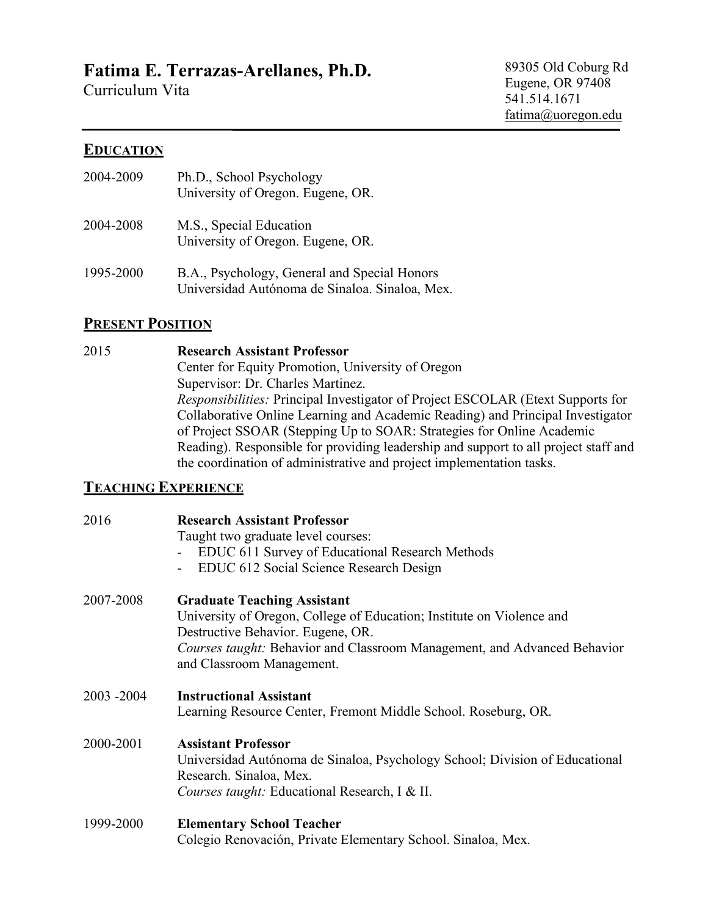# **Fatima E. Terrazas-Arellanes, Ph.D.**

Curriculum Vita

89305 Old Coburg Rd Eugene, OR 97408 541.514.1671 fatima@uoregon.edu

#### **EDUCATION**

| 2004-2009 | Ph.D., School Psychology<br>University of Oregon. Eugene, OR.                                  |
|-----------|------------------------------------------------------------------------------------------------|
| 2004-2008 | M.S., Special Education<br>University of Oregon. Eugene, OR.                                   |
| 1995-2000 | B.A., Psychology, General and Special Honors<br>Universidad Autónoma de Sinaloa. Sinaloa, Mex. |

## **PRESENT POSITION**

#### 2015 **Research Assistant Professor** Center for Equity Promotion, University of Oregon Supervisor: Dr. Charles Martinez. *Responsibilities:* Principal Investigator of Project ESCOLAR (Etext Supports for Collaborative Online Learning and Academic Reading) and Principal Investigator of Project SSOAR (Stepping Up to SOAR: Strategies for Online Academic Reading). Responsible for providing leadership and support to all project staff and the coordination of administrative and project implementation tasks.

#### **TEACHING EXPERIENCE**

| 2016       | <b>Research Assistant Professor</b><br>Taught two graduate level courses:<br>EDUC 611 Survey of Educational Research Methods<br>EDUC 612 Social Science Research Design                                                                                          |
|------------|------------------------------------------------------------------------------------------------------------------------------------------------------------------------------------------------------------------------------------------------------------------|
| 2007-2008  | <b>Graduate Teaching Assistant</b><br>University of Oregon, College of Education; Institute on Violence and<br>Destructive Behavior. Eugene, OR.<br><i>Courses taught:</i> Behavior and Classroom Management, and Advanced Behavior<br>and Classroom Management. |
| 2003 -2004 | <b>Instructional Assistant</b><br>Learning Resource Center, Fremont Middle School. Roseburg, OR.                                                                                                                                                                 |
| 2000-2001  | <b>Assistant Professor</b><br>Universidad Autónoma de Sinaloa, Psychology School; Division of Educational<br>Research. Sinaloa, Mex.<br><i>Courses taught:</i> Educational Research, I & II.                                                                     |
| 1999-2000  | <b>Elementary School Teacher</b><br>Colegio Renovación, Private Elementary School. Sinaloa, Mex.                                                                                                                                                                 |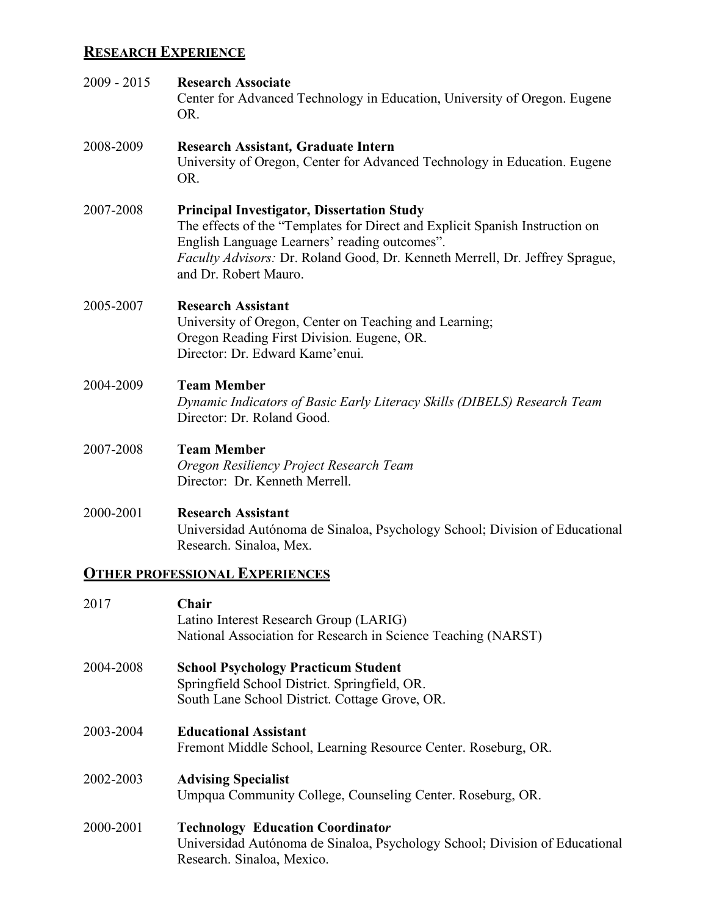# **RESEARCH EXPERIENCE**

| 2009 - 2015 | <b>Research Associate</b><br>Center for Advanced Technology in Education, University of Oregon. Eugene<br>OR.                                                                                                                                                                               |
|-------------|---------------------------------------------------------------------------------------------------------------------------------------------------------------------------------------------------------------------------------------------------------------------------------------------|
| 2008-2009   | <b>Research Assistant, Graduate Intern</b><br>University of Oregon, Center for Advanced Technology in Education. Eugene<br>OR.                                                                                                                                                              |
| 2007-2008   | <b>Principal Investigator, Dissertation Study</b><br>The effects of the "Templates for Direct and Explicit Spanish Instruction on<br>English Language Learners' reading outcomes".<br>Faculty Advisors: Dr. Roland Good, Dr. Kenneth Merrell, Dr. Jeffrey Sprague,<br>and Dr. Robert Mauro. |
| 2005-2007   | <b>Research Assistant</b><br>University of Oregon, Center on Teaching and Learning;<br>Oregon Reading First Division. Eugene, OR.<br>Director: Dr. Edward Kame'enui.                                                                                                                        |
| 2004-2009   | <b>Team Member</b><br>Dynamic Indicators of Basic Early Literacy Skills (DIBELS) Research Team<br>Director: Dr. Roland Good.                                                                                                                                                                |
| 2007-2008   | <b>Team Member</b><br>Oregon Resiliency Project Research Team<br>Director: Dr. Kenneth Merrell.                                                                                                                                                                                             |
| 2000-2001   | <b>Research Assistant</b><br>Universidad Autónoma de Sinaloa, Psychology School; Division of Educational<br>Research. Sinaloa, Mex.                                                                                                                                                         |
|             | <b>OTHER PROFESSIONAL EXPERIENCES</b>                                                                                                                                                                                                                                                       |
| 2017        | Chair<br>Latino Interest Research Group (LARIG)<br>National Association for Research in Science Teaching (NARST)                                                                                                                                                                            |
| 2004-2008   | <b>School Psychology Practicum Student</b><br>Springfield School District. Springfield, OR.<br>South Lane School District. Cottage Grove, OR.                                                                                                                                               |
| 2003-2004   | <b>Educational Assistant</b><br>Fremont Middle School, Learning Resource Center. Roseburg, OR.                                                                                                                                                                                              |
| 2002-2003   | <b>Advising Specialist</b><br>Umpqua Community College, Counseling Center. Roseburg, OR.                                                                                                                                                                                                    |

2000-2001 **Technology Education Coordinato***r* Universidad Autónoma de Sinaloa, Psychology School; Division of Educational Research. Sinaloa, Mexico.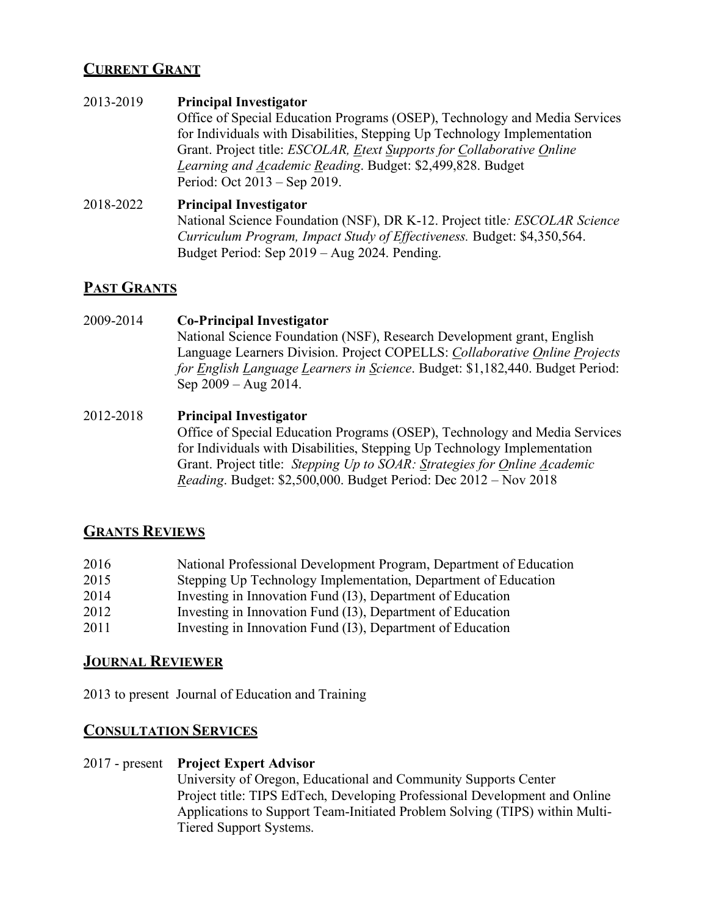# **CURRENT GRANT**

#### 2013-2019 **Principal Investigator**

Office of Special Education Programs (OSEP), Technology and Media Services for Individuals with Disabilities, Stepping Up Technology Implementation Grant. Project title: *ESCOLAR, Etext Supports for Collaborative Online Learning and Academic Reading*. Budget: \$2,499,828. Budget Period: Oct 2013 – Sep 2019.

#### 2018-2022 **Principal Investigator**

National Science Foundation (NSF), DR K-12. Project title*: ESCOLAR Science Curriculum Program, Impact Study of Effectiveness.* Budget: \$4,350,564. Budget Period: Sep 2019 – Aug 2024. Pending.

# **PAST GRANTS**

# 2009-2014 **Co-Principal Investigator**

National Science Foundation (NSF), Research Development grant, English Language Learners Division. Project COPELLS: *Collaborative Online Projects for English Language Learners in Science*. Budget: \$1,182,440. Budget Period: Sep 2009 – Aug 2014.

#### 2012-2018 **Principal Investigator** Office of Special Education Programs (OSEP), Technology and Media Services for Individuals with Disabilities, Stepping Up Technology Implementation Grant. Project title: *Stepping Up to SOAR: Strategies for Online Academic Reading*. Budget: \$2,500,000. Budget Period: Dec 2012 – Nov 2018

## **GRANTS REVIEWS**

| 2016 | National Professional Development Program, Department of Education |
|------|--------------------------------------------------------------------|
| 2015 | Stepping Up Technology Implementation, Department of Education     |
| 2014 | Investing in Innovation Fund (I3), Department of Education         |
| 2012 | Investing in Innovation Fund (I3), Department of Education         |
| 2011 | Investing in Innovation Fund (I3), Department of Education         |

## **JOURNAL REVIEWER**

2013 to present Journal of Education and Training

## **CONSULTATION SERVICES**

# 2017 - present **Project Expert Advisor**

University of Oregon, Educational and Community Supports Center Project title: TIPS EdTech, Developing Professional Development and Online Applications to Support Team-Initiated Problem Solving (TIPS) within Multi-Tiered Support Systems.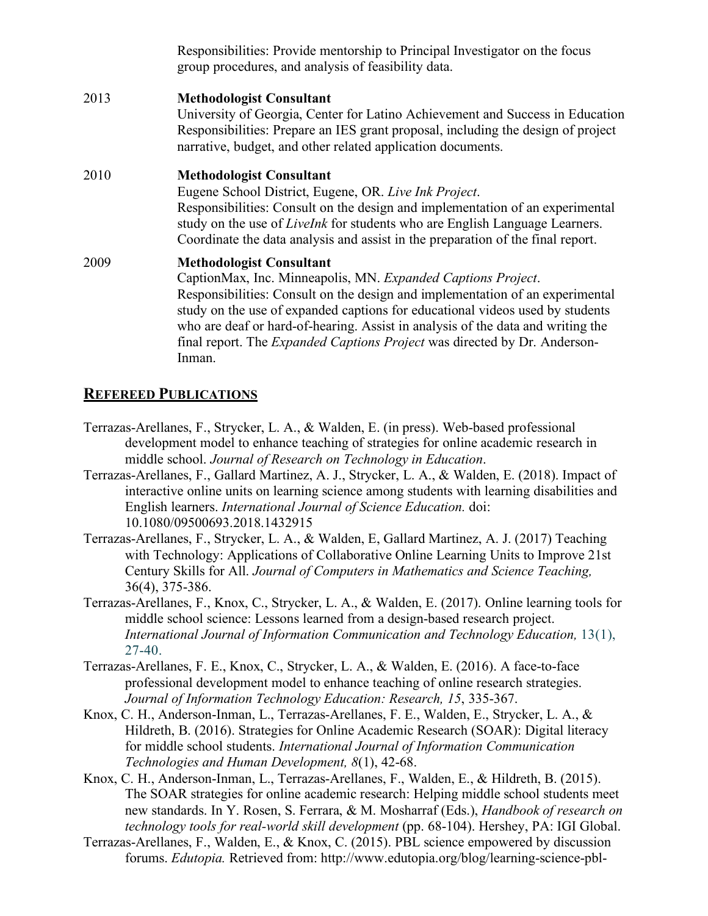|      | Responsibilities: Provide mentorship to Principal Investigator on the focus<br>group procedures, and analysis of feasibility data.                                                                                                                                                                                                                                                                                                                 |
|------|----------------------------------------------------------------------------------------------------------------------------------------------------------------------------------------------------------------------------------------------------------------------------------------------------------------------------------------------------------------------------------------------------------------------------------------------------|
| 2013 | <b>Methodologist Consultant</b><br>University of Georgia, Center for Latino Achievement and Success in Education<br>Responsibilities: Prepare an IES grant proposal, including the design of project<br>narrative, budget, and other related application documents.                                                                                                                                                                                |
| 2010 | <b>Methodologist Consultant</b><br>Eugene School District, Eugene, OR. Live Ink Project.<br>Responsibilities: Consult on the design and implementation of an experimental<br>study on the use of <i>Livelnk</i> for students who are English Language Learners.<br>Coordinate the data analysis and assist in the preparation of the final report.                                                                                                 |
| 2009 | <b>Methodologist Consultant</b><br>CaptionMax, Inc. Minneapolis, MN. Expanded Captions Project.<br>Responsibilities: Consult on the design and implementation of an experimental<br>study on the use of expanded captions for educational videos used by students<br>who are deaf or hard-of-hearing. Assist in analysis of the data and writing the<br>final report. The <i>Expanded Captions Project</i> was directed by Dr. Anderson-<br>Inman. |

## **REFEREED PUBLICATIONS**

- Terrazas-Arellanes, F., Strycker, L. A., & Walden, E. (in press). Web-based professional development model to enhance teaching of strategies for online academic research in middle school. *Journal of Research on Technology in Education*.
- Terrazas-Arellanes, F., Gallard Martinez, A. J., Strycker, L. A., & Walden, E. (2018). Impact of interactive online units on learning science among students with learning disabilities and English learners. *International Journal of Science Education.* doi: 10.1080/09500693.2018.1432915
- Terrazas-Arellanes, F., Strycker, L. A., & Walden, E, Gallard Martinez, A. J. (2017) Teaching with Technology: Applications of Collaborative Online Learning Units to Improve 21st Century Skills for All. *Journal of Computers in Mathematics and Science Teaching,* 36(4), 375-386.
- Terrazas-Arellanes, F., Knox, C., Strycker, L. A., & Walden, E. (2017). Online learning tools for middle school science: Lessons learned from a design-based research project. *International Journal of Information Communication and Technology Education,* 13(1), 27-40.
- Terrazas-Arellanes, F. E., Knox, C., Strycker, L. A., & Walden, E. (2016). A face-to-face professional development model to enhance teaching of online research strategies. *Journal of Information Technology Education: Research, 15*, 335-367.
- Knox, C. H., Anderson-Inman, L., Terrazas-Arellanes, F. E., Walden, E., Strycker, L. A., & Hildreth, B. (2016). Strategies for Online Academic Research (SOAR): Digital literacy for middle school students. *International Journal of Information Communication Technologies and Human Development, 8*(1), 42-68.
- Knox, C. H., Anderson-Inman, L., Terrazas-Arellanes, F., Walden, E., & Hildreth, B. (2015). The SOAR strategies for online academic research: Helping middle school students meet new standards. In Y. Rosen, S. Ferrara, & M. Mosharraf (Eds.), *Handbook of research on technology tools for real-world skill development* (pp. 68-104). Hershey, PA: IGI Global.
- Terrazas-Arellanes, F., Walden, E., & Knox, C. (2015). PBL science empowered by discussion forums. *Edutopia.* Retrieved from: http://www.edutopia.org/blog/learning-science-pbl-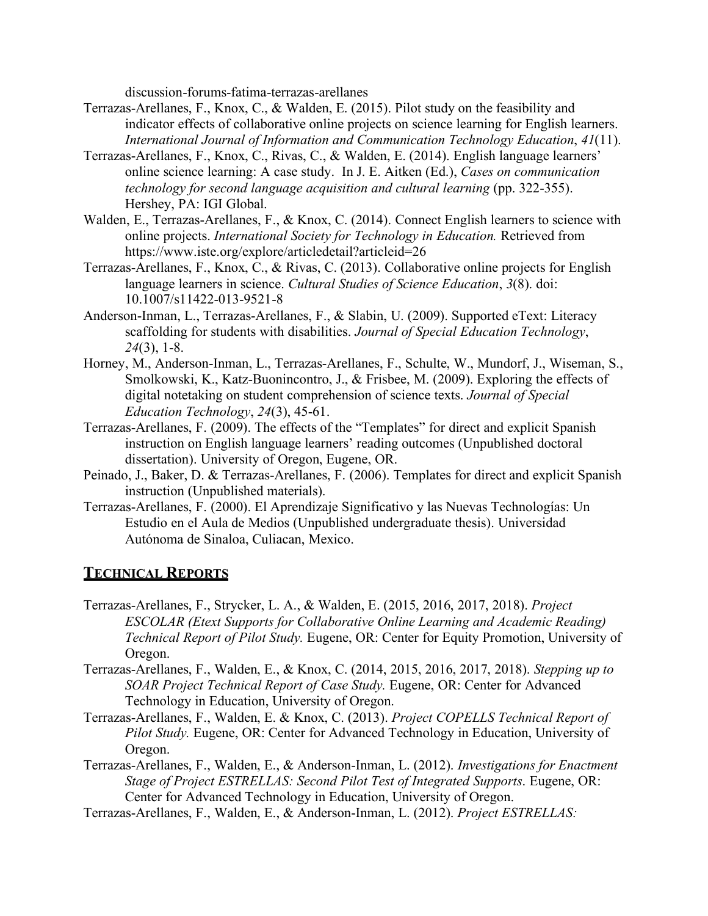discussion-forums-fatima-terrazas-arellanes

- Terrazas-Arellanes, F., Knox, C., & Walden, E. (2015). Pilot study on the feasibility and indicator effects of collaborative online projects on science learning for English learners. *International Journal of Information and Communication Technology Education*, *41*(11).
- Terrazas-Arellanes, F., Knox, C., Rivas, C., & Walden, E. (2014). English language learners' online science learning: A case study. In J. E. Aitken (Ed.), *Cases on communication technology for second language acquisition and cultural learning* (pp. 322-355). Hershey, PA: IGI Global.
- Walden, E., Terrazas-Arellanes, F., & Knox, C. (2014). Connect English learners to science with online projects. *International Society for Technology in Education.* Retrieved from https://www.iste.org/explore/articledetail?articleid=26
- Terrazas-Arellanes, F., Knox, C., & Rivas, C. (2013). Collaborative online projects for English language learners in science. *Cultural Studies of Science Education*, *3*(8). doi: 10.1007/s11422-013-9521-8
- Anderson-Inman, L., Terrazas-Arellanes, F., & Slabin, U. (2009). Supported eText: Literacy scaffolding for students with disabilities. *Journal of Special Education Technology*, *24*(3), 1-8.
- Horney, M., Anderson-Inman, L., Terrazas-Arellanes, F., Schulte, W., Mundorf, J., Wiseman, S., Smolkowski, K., Katz-Buonincontro, J., & Frisbee, M. (2009). Exploring the effects of digital notetaking on student comprehension of science texts. *Journal of Special Education Technology*, *24*(3), 45-61.
- Terrazas-Arellanes, F. (2009). The effects of the "Templates" for direct and explicit Spanish instruction on English language learners' reading outcomes (Unpublished doctoral dissertation). University of Oregon, Eugene, OR.
- Peinado, J., Baker, D. & Terrazas-Arellanes, F. (2006). Templates for direct and explicit Spanish instruction (Unpublished materials).
- Terrazas-Arellanes, F. (2000). El Aprendizaje Significativo y las Nuevas Technologías: Un Estudio en el Aula de Medios (Unpublished undergraduate thesis). Universidad Autónoma de Sinaloa, Culiacan, Mexico.

# **TECHNICAL REPORTS**

- Terrazas-Arellanes, F., Strycker, L. A., & Walden, E. (2015, 2016, 2017, 2018). *Project ESCOLAR (Etext Supports for Collaborative Online Learning and Academic Reading) Technical Report of Pilot Study.* Eugene, OR: Center for Equity Promotion, University of Oregon.
- Terrazas-Arellanes, F., Walden, E., & Knox, C. (2014, 2015, 2016, 2017, 2018). *Stepping up to SOAR Project Technical Report of Case Study.* Eugene, OR: Center for Advanced Technology in Education, University of Oregon.
- Terrazas-Arellanes, F., Walden, E. & Knox, C. (2013). *Project COPELLS Technical Report of Pilot Study.* Eugene, OR: Center for Advanced Technology in Education, University of Oregon.
- Terrazas-Arellanes, F., Walden, E., & Anderson-Inman, L. (2012). *Investigations for Enactment Stage of Project ESTRELLAS: Second Pilot Test of Integrated Supports*. Eugene, OR: Center for Advanced Technology in Education, University of Oregon.
- Terrazas-Arellanes, F., Walden, E., & Anderson-Inman, L. (2012). *Project ESTRELLAS:*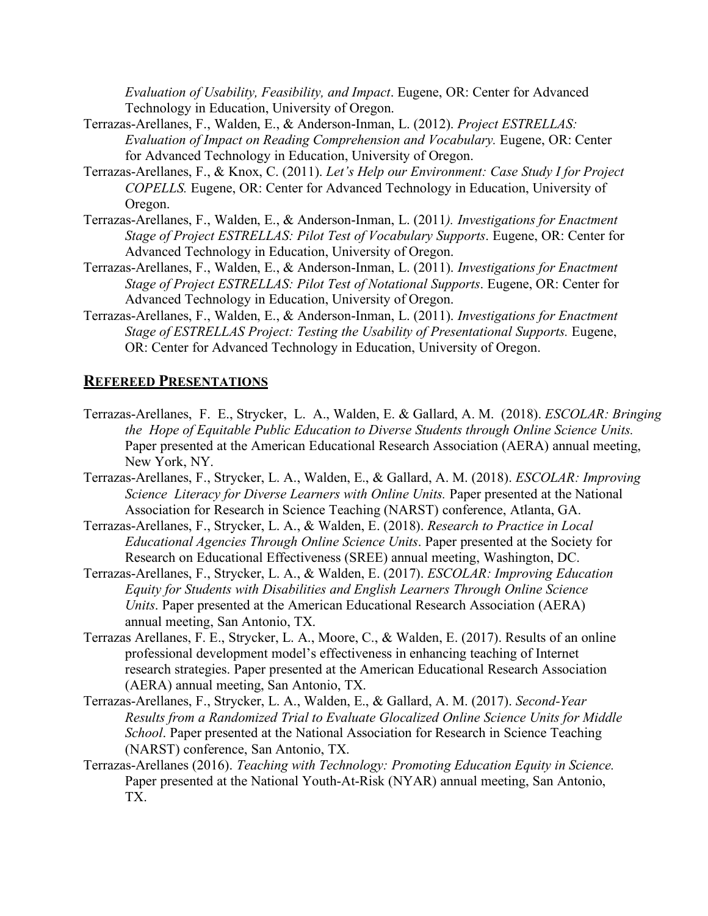*Evaluation of Usability, Feasibility, and Impact*. Eugene, OR: Center for Advanced Technology in Education, University of Oregon.

- Terrazas-Arellanes, F., Walden, E., & Anderson-Inman, L. (2012). *Project ESTRELLAS: Evaluation of Impact on Reading Comprehension and Vocabulary.* Eugene, OR: Center for Advanced Technology in Education, University of Oregon.
- Terrazas-Arellanes, F., & Knox, C. (2011). *Let's Help our Environment: Case Study I for Project COPELLS.* Eugene, OR: Center for Advanced Technology in Education, University of Oregon.
- Terrazas-Arellanes, F., Walden, E., & Anderson-Inman, L. (2011*). Investigations for Enactment Stage of Project ESTRELLAS: Pilot Test of Vocabulary Supports*. Eugene, OR: Center for Advanced Technology in Education, University of Oregon.
- Terrazas-Arellanes, F., Walden, E., & Anderson-Inman, L. (2011). *Investigations for Enactment Stage of Project ESTRELLAS: Pilot Test of Notational Supports*. Eugene, OR: Center for Advanced Technology in Education, University of Oregon.
- Terrazas-Arellanes, F., Walden, E., & Anderson-Inman, L. (2011). *Investigations for Enactment Stage of ESTRELLAS Project: Testing the Usability of Presentational Supports.* Eugene, OR: Center for Advanced Technology in Education, University of Oregon.

#### **REFEREED PRESENTATIONS**

- Terrazas-Arellanes, F. E., Strycker, L. A., Walden, E. & Gallard, A. M. (2018). *ESCOLAR: Bringing the Hope of Equitable Public Education to Diverse Students through Online Science Units.*  Paper presented at the American Educational Research Association (AERA) annual meeting, New York, NY.
- Terrazas-Arellanes, F., Strycker, L. A., Walden, E., & Gallard, A. M. (2018). *ESCOLAR: Improving Science Literacy for Diverse Learners with Online Units.* Paper presented at the National Association for Research in Science Teaching (NARST) conference, Atlanta, GA.
- Terrazas-Arellanes, F., Strycker, L. A., & Walden, E. (2018). *Research to Practice in Local Educational Agencies Through Online Science Units*. Paper presented at the Society for Research on Educational Effectiveness (SREE) annual meeting, Washington, DC.
- Terrazas-Arellanes, F., Strycker, L. A., & Walden, E. (2017). *ESCOLAR: Improving Education Equity for Students with Disabilities and English Learners Through Online Science Units*. Paper presented at the American Educational Research Association (AERA) annual meeting, San Antonio, TX.
- Terrazas Arellanes, F. E., Strycker, L. A., Moore, C., & Walden, E. (2017). Results of an online professional development model's effectiveness in enhancing teaching of Internet research strategies. Paper presented at the American Educational Research Association (AERA) annual meeting, San Antonio, TX.
- Terrazas-Arellanes, F., Strycker, L. A., Walden, E., & Gallard, A. M. (2017). *Second-Year Results from a Randomized Trial to Evaluate Glocalized Online Science Units for Middle School*. Paper presented at the National Association for Research in Science Teaching (NARST) conference, San Antonio, TX.
- Terrazas-Arellanes (2016). *Teaching with Technology: Promoting Education Equity in Science.* Paper presented at the National Youth-At-Risk (NYAR) annual meeting, San Antonio, TX.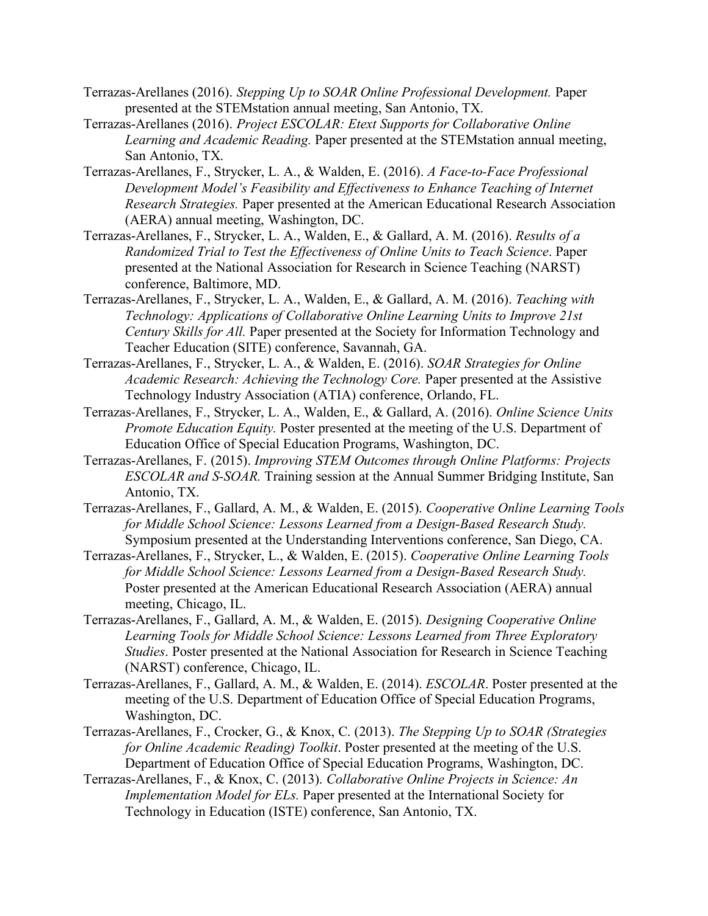- Terrazas-Arellanes (2016). *Stepping Up to SOAR Online Professional Development.* Paper presented at the STEMstation annual meeting, San Antonio, TX.
- Terrazas-Arellanes (2016). *Project ESCOLAR: Etext Supports for Collaborative Online Learning and Academic Reading.* Paper presented at the STEMstation annual meeting, San Antonio, TX.
- Terrazas-Arellanes, F., Strycker, L. A., & Walden, E. (2016). *A Face-to-Face Professional Development Model's Feasibility and Effectiveness to Enhance Teaching of Internet Research Strategies.* Paper presented at the American Educational Research Association (AERA) annual meeting, Washington, DC.
- Terrazas-Arellanes, F., Strycker, L. A., Walden, E., & Gallard, A. M. (2016). *Results of a Randomized Trial to Test the Effectiveness of Online Units to Teach Science*. Paper presented at the National Association for Research in Science Teaching (NARST) conference, Baltimore, MD.
- Terrazas-Arellanes, F., Strycker, L. A., Walden, E., & Gallard, A. M. (2016). *Teaching with Technology: Applications of Collaborative Online Learning Units to Improve 21st Century Skills for All.* Paper presented at the Society for Information Technology and Teacher Education (SITE) conference, Savannah, GA.
- Terrazas-Arellanes, F., Strycker, L. A., & Walden, E. (2016). *SOAR Strategies for Online Academic Research: Achieving the Technology Core.* Paper presented at the Assistive Technology Industry Association (ATIA) conference, Orlando, FL.
- Terrazas-Arellanes, F., Strycker, L. A., Walden, E., & Gallard, A. (2016). *Online Science Units Promote Education Equity.* Poster presented at the meeting of the U.S. Department of Education Office of Special Education Programs, Washington, DC.
- Terrazas-Arellanes, F. (2015). *Improving STEM Outcomes through Online Platforms: Projects ESCOLAR and S-SOAR.* Training session at the Annual Summer Bridging Institute, San Antonio, TX.
- Terrazas-Arellanes, F., Gallard, A. M., & Walden, E. (2015). *Cooperative Online Learning Tools for Middle School Science: Lessons Learned from a Design-Based Research Study.* Symposium presented at the Understanding Interventions conference, San Diego, CA.
- Terrazas-Arellanes, F., Strycker, L., & Walden, E. (2015). *Cooperative Online Learning Tools for Middle School Science: Lessons Learned from a Design-Based Research Study.* Poster presented at the American Educational Research Association (AERA) annual meeting, Chicago, IL.
- Terrazas-Arellanes, F., Gallard, A. M., & Walden, E. (2015). *Designing Cooperative Online Learning Tools for Middle School Science: Lessons Learned from Three Exploratory Studies*. Poster presented at the National Association for Research in Science Teaching (NARST) conference, Chicago, IL.
- Terrazas-Arellanes, F., Gallard, A. M., & Walden, E. (2014). *ESCOLAR*. Poster presented at the meeting of the U.S. Department of Education Office of Special Education Programs, Washington, DC.
- Terrazas-Arellanes, F., Crocker, G., & Knox, C. (2013). *The Stepping Up to SOAR (Strategies for Online Academic Reading) Toolkit*. Poster presented at the meeting of the U.S. Department of Education Office of Special Education Programs, Washington, DC.
- Terrazas-Arellanes, F., & Knox, C. (2013). *Collaborative Online Projects in Science: An Implementation Model for ELs.* Paper presented at the International Society for Technology in Education (ISTE) conference, San Antonio, TX.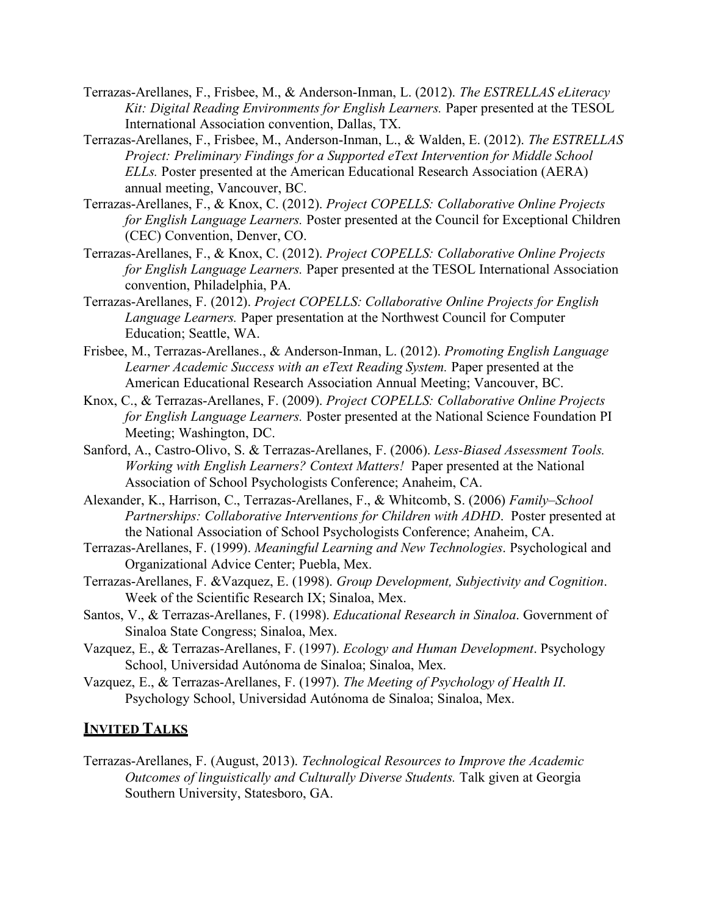- Terrazas-Arellanes, F., Frisbee, M., & Anderson-Inman, L. (2012). *The ESTRELLAS eLiteracy Kit: Digital Reading Environments for English Learners.* Paper presented at the TESOL International Association convention, Dallas, TX.
- Terrazas-Arellanes, F., Frisbee, M., Anderson-Inman, L., & Walden, E. (2012). *The ESTRELLAS Project: Preliminary Findings for a Supported eText Intervention for Middle School ELLs.* Poster presented at the American Educational Research Association (AERA) annual meeting, Vancouver, BC.
- Terrazas-Arellanes, F., & Knox, C. (2012). *Project COPELLS: Collaborative Online Projects for English Language Learners.* Poster presented at the Council for Exceptional Children (CEC) Convention, Denver, CO.
- Terrazas-Arellanes, F., & Knox, C. (2012). *Project COPELLS: Collaborative Online Projects for English Language Learners.* Paper presented at the TESOL International Association convention, Philadelphia, PA.
- Terrazas-Arellanes, F. (2012). *Project COPELLS: Collaborative Online Projects for English Language Learners.* Paper presentation at the Northwest Council for Computer Education; Seattle, WA.
- Frisbee, M., Terrazas-Arellanes., & Anderson-Inman, L. (2012). *Promoting English Language Learner Academic Success with an eText Reading System.* Paper presented at the American Educational Research Association Annual Meeting; Vancouver, BC.
- Knox, C., & Terrazas-Arellanes, F. (2009). *Project COPELLS: Collaborative Online Projects for English Language Learners.* Poster presented at the National Science Foundation PI Meeting; Washington, DC.
- Sanford, A., Castro-Olivo, S. & Terrazas-Arellanes, F. (2006). *Less-Biased Assessment Tools. Working with English Learners? Context Matters!* Paper presented at the National Association of School Psychologists Conference; Anaheim, CA.
- Alexander, K., Harrison, C., Terrazas-Arellanes, F., & Whitcomb, S. (2006) *Family–School Partnerships: Collaborative Interventions for Children with ADHD*.Poster presented at the National Association of School Psychologists Conference; Anaheim, CA.
- Terrazas-Arellanes, F. (1999). *Meaningful Learning and New Technologies*. Psychological and Organizational Advice Center; Puebla, Mex.
- Terrazas-Arellanes, F. &Vazquez, E. (1998). *Group Development, Subjectivity and Cognition*. Week of the Scientific Research IX; Sinaloa, Mex.
- Santos, V., & Terrazas-Arellanes, F. (1998). *Educational Research in Sinaloa*. Government of Sinaloa State Congress; Sinaloa, Mex.
- Vazquez, E., & Terrazas-Arellanes, F. (1997). *Ecology and Human Development*. Psychology School, Universidad Autónoma de Sinaloa; Sinaloa, Mex.
- Vazquez, E., & Terrazas-Arellanes, F. (1997). *The Meeting of Psychology of Health II*. Psychology School, Universidad Autónoma de Sinaloa; Sinaloa, Mex.

#### **INVITED TALKS**

Terrazas-Arellanes, F. (August, 2013). *Technological Resources to Improve the Academic Outcomes of linguistically and Culturally Diverse Students.* Talk given at Georgia Southern University, Statesboro, GA.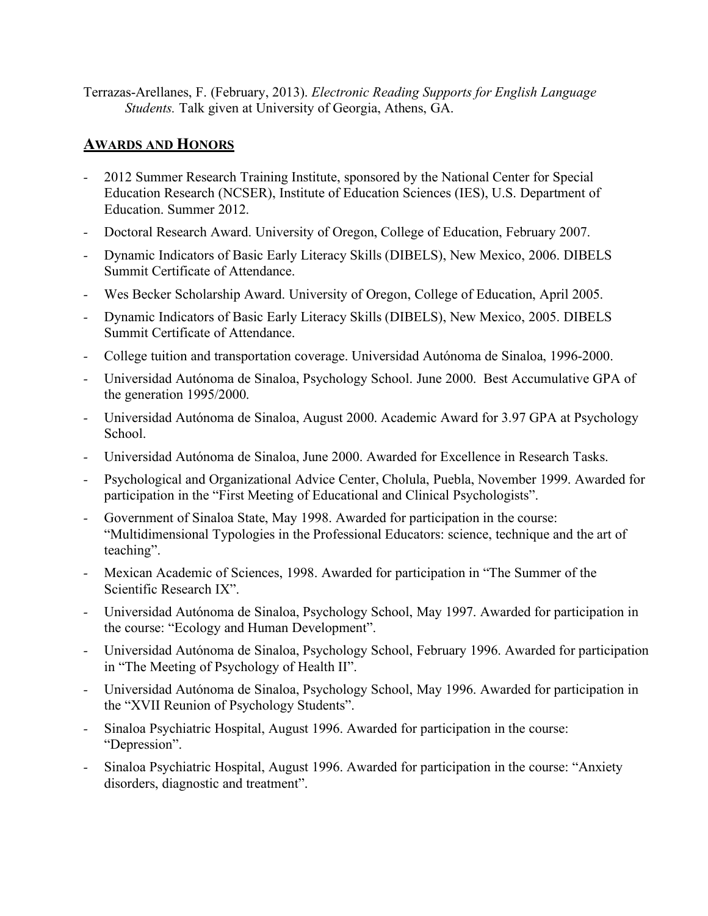Terrazas-Arellanes, F. (February, 2013). *Electronic Reading Supports for English Language Students.* Talk given at University of Georgia, Athens, GA.

## **AWARDS AND HONORS**

- *-* 2012 Summer Research Training Institute, sponsored by the National Center for Special Education Research (NCSER), Institute of Education Sciences (IES), U.S. Department of Education. Summer 2012.
- *-* Doctoral Research Award. University of Oregon, College of Education, February 2007.
- *-* Dynamic Indicators of Basic Early Literacy Skills (DIBELS), New Mexico, 2006. DIBELS Summit Certificate of Attendance.
- *-* Wes Becker Scholarship Award. University of Oregon, College of Education, April 2005.
- *-* Dynamic Indicators of Basic Early Literacy Skills (DIBELS), New Mexico, 2005. DIBELS Summit Certificate of Attendance.
- *-* College tuition and transportation coverage. Universidad Autónoma de Sinaloa, 1996-2000.
- *-* Universidad Autónoma de Sinaloa, Psychology School. June 2000. Best Accumulative GPA of the generation 1995/2000.
- *-* Universidad Autónoma de Sinaloa, August 2000. Academic Award for 3.97 GPA at Psychology School.
- *-* Universidad Autónoma de Sinaloa, June 2000. Awarded for Excellence in Research Tasks.
- Psychological and Organizational Advice Center, Cholula, Puebla, November 1999. Awarded for participation in the "First Meeting of Educational and Clinical Psychologists".
- Government of Sinaloa State, May 1998. Awarded for participation in the course: "Multidimensional Typologies in the Professional Educators: science, technique and the art of teaching".
- *-* Mexican Academic of Sciences, 1998. Awarded for participation in "The Summer of the Scientific Research IX".
- *-* Universidad Autónoma de Sinaloa, Psychology School, May 1997. Awarded for participation in the course: "Ecology and Human Development".
- *-* Universidad Autónoma de Sinaloa, Psychology School, February 1996. Awarded for participation in "The Meeting of Psychology of Health II".
- *-* Universidad Autónoma de Sinaloa, Psychology School, May 1996. Awarded for participation in the "XVII Reunion of Psychology Students".
- *-* Sinaloa Psychiatric Hospital, August 1996. Awarded for participation in the course: "Depression".
- *-* Sinaloa Psychiatric Hospital, August 1996. Awarded for participation in the course: "Anxiety disorders, diagnostic and treatment".